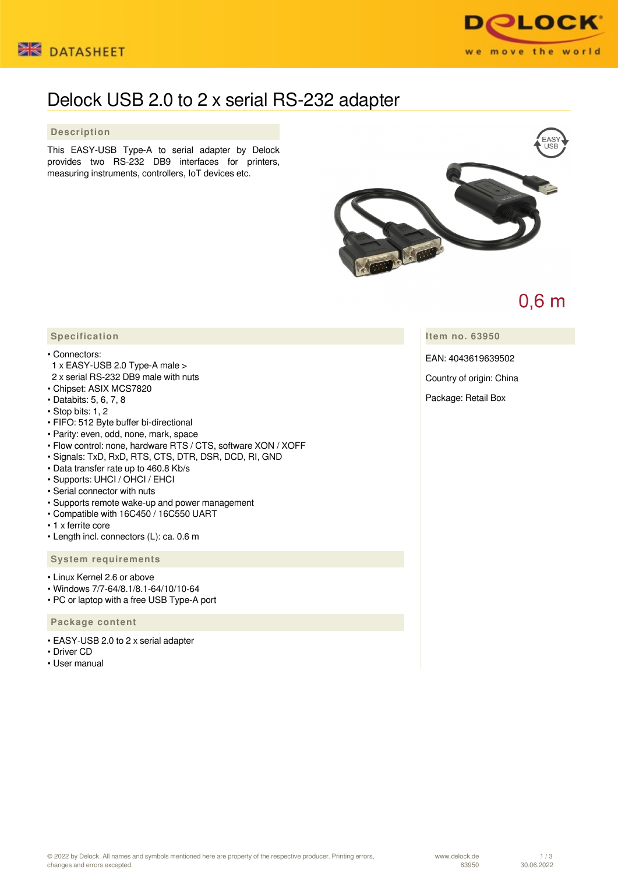



# Delock USB 2.0 to 2 x serial RS-232 adapter

 **Description**

This EASY-USB Type-A to serial adapter by Delock provides two RS-232 DB9 interfaces for printers, measuring instruments, controllers, IoT devices etc.



# $0,6$  m

**Item no. 63950**

EAN: 4043619639502

Country of origin: China

Package: Retail Box

## **Specification**

- Connectors:
- 1 x EASY-USB 2.0 Type-A male >
- 2 x serial RS-232 DB9 male with nuts
- Chipset: ASIX MCS7820
- Databits: 5, 6, 7, 8
- Stop bits: 1, 2
- FIFO: 512 Byte buffer bi-directional
- Parity: even, odd, none, mark, space
- Flow control: none, hardware RTS / CTS, software XON / XOFF
- Signals: TxD, RxD, RTS, CTS, DTR, DSR, DCD, RI, GND
- Data transfer rate up to 460.8 Kb/s
- Supports: UHCI / OHCI / EHCI
- Serial connector with nuts
- Supports remote wake-up and power management
- Compatible with 16C450 / 16C550 UART
- 1 x ferrite core
- Length incl. connectors (L): ca. 0.6 m

#### **System requirements**

- Linux Kernel 2.6 or above
- Windows 7/7-64/8.1/8.1-64/10/10-64
- PC or laptop with a free USB Type-A port

### **Package content**

- EASY-USB 2.0 to 2 x serial adapter
- Driver CD
- User manual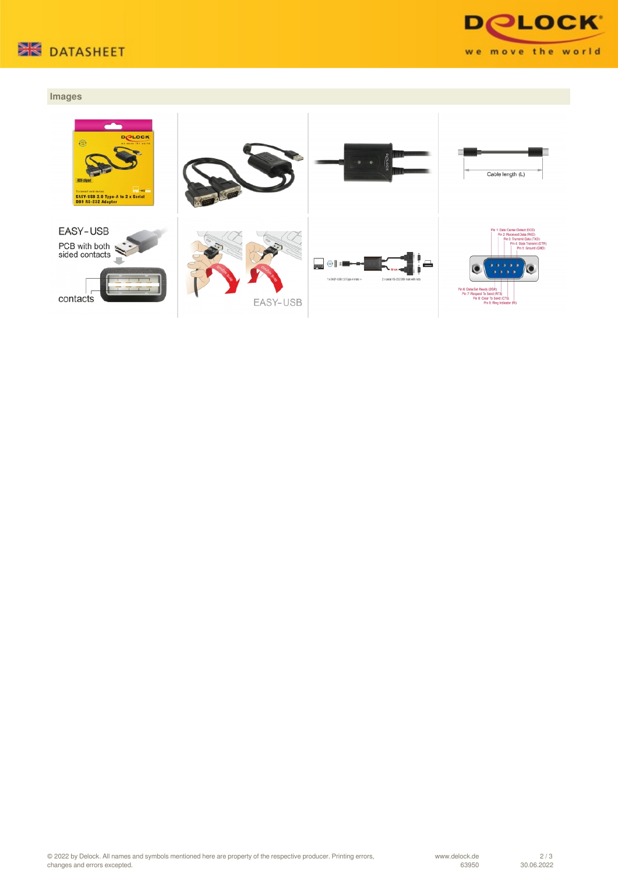



### **Images**